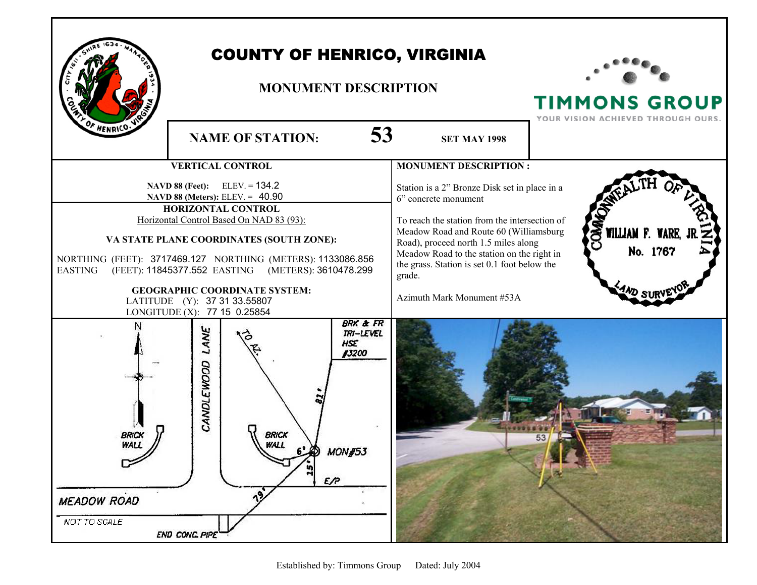

## COUNTY OF HENRICO, VIRGINIA

#### **MONUMENT DESCRIPTION**



**TIMMONS GROUP**